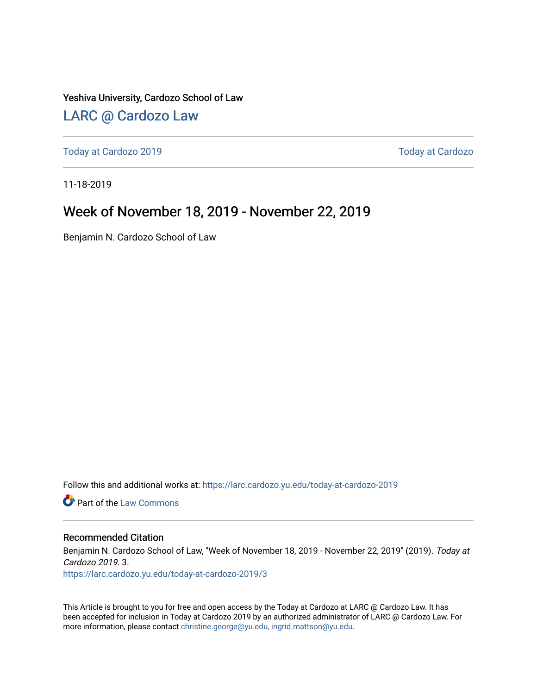Yeshiva University, Cardozo School of Law

### [LARC @ Cardozo Law](https://larc.cardozo.yu.edu/)

[Today at Cardozo 2019](https://larc.cardozo.yu.edu/today-at-cardozo-2019) [Today at Cardozo](https://larc.cardozo.yu.edu/today-at-cardozo) 

11-18-2019

### Week of November 18, 2019 - November 22, 2019

Benjamin N. Cardozo School of Law

Follow this and additional works at: [https://larc.cardozo.yu.edu/today-at-cardozo-2019](https://larc.cardozo.yu.edu/today-at-cardozo-2019?utm_source=larc.cardozo.yu.edu%2Ftoday-at-cardozo-2019%2F3&utm_medium=PDF&utm_campaign=PDFCoverPages)

**C** Part of the [Law Commons](http://network.bepress.com/hgg/discipline/578?utm_source=larc.cardozo.yu.edu%2Ftoday-at-cardozo-2019%2F3&utm_medium=PDF&utm_campaign=PDFCoverPages)

#### Recommended Citation

Benjamin N. Cardozo School of Law, "Week of November 18, 2019 - November 22, 2019" (2019). Today at Cardozo 2019. 3.

[https://larc.cardozo.yu.edu/today-at-cardozo-2019/3](https://larc.cardozo.yu.edu/today-at-cardozo-2019/3?utm_source=larc.cardozo.yu.edu%2Ftoday-at-cardozo-2019%2F3&utm_medium=PDF&utm_campaign=PDFCoverPages) 

This Article is brought to you for free and open access by the Today at Cardozo at LARC @ Cardozo Law. It has been accepted for inclusion in Today at Cardozo 2019 by an authorized administrator of LARC @ Cardozo Law. For more information, please contact [christine.george@yu.edu, ingrid.mattson@yu.edu](mailto:christine.george@yu.edu,%20ingrid.mattson@yu.edu).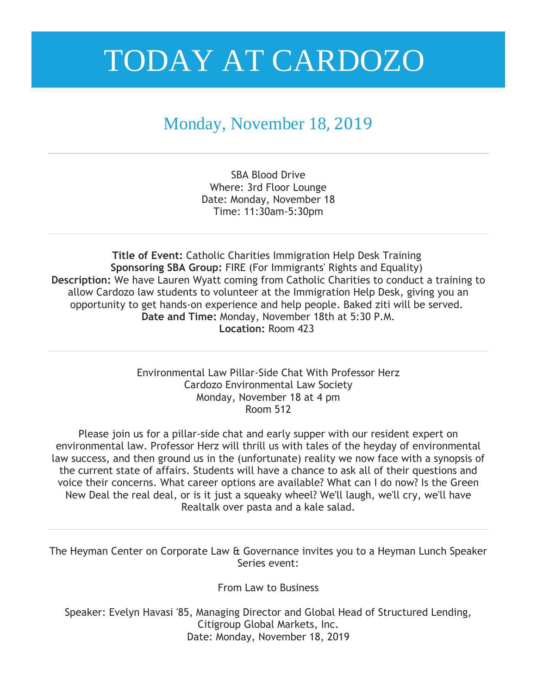### Monday, November 18, 2019

SBA Blood Drive Where: 3rd Floor Lounge Date: Monday, November 18 Time: 11:30am-5:30pm

**Title of Event:** Catholic Charities Immigration Help Desk Training **Sponsoring SBA Group:** FIRE (For Immigrants' Rights and Equality) **Description:** We have Lauren Wyatt coming from Catholic Charities to conduct a training to allow Cardozo law students to volunteer at the Immigration Help Desk, giving you an opportunity to get hands-on experience and help people. Baked ziti will be served. **Date and Time:** Monday, November 18th at 5:30 P.M. **Location:** Room 423

> Environmental Law Pillar-Side Chat With Professor Herz Cardozo Environmental Law Society Monday, November 18 at 4 pm Room 512

Please join us for a pillar-side chat and early supper with our resident expert on environmental law. Professor Herz will thrill us with tales of the heyday of environmental law success, and then ground us in the (unfortunate) reality we now face with a synopsis of the current state of affairs. Students will have a chance to ask all of their questions and voice their concerns. What career options are available? What can I do now? Is the Green New Deal the real deal, or is it just a squeaky wheel? We'll laugh, we'll cry, we'll have Realtalk over pasta and a kale salad.

The Heyman Center on Corporate Law & Governance invites you to a Heyman Lunch Speaker Series event:

From Law to Business

Speaker: Evelyn Havasi '85, Managing Director and Global Head of Structured Lending, Citigroup Global Markets, Inc. Date: Monday, November 18, 2019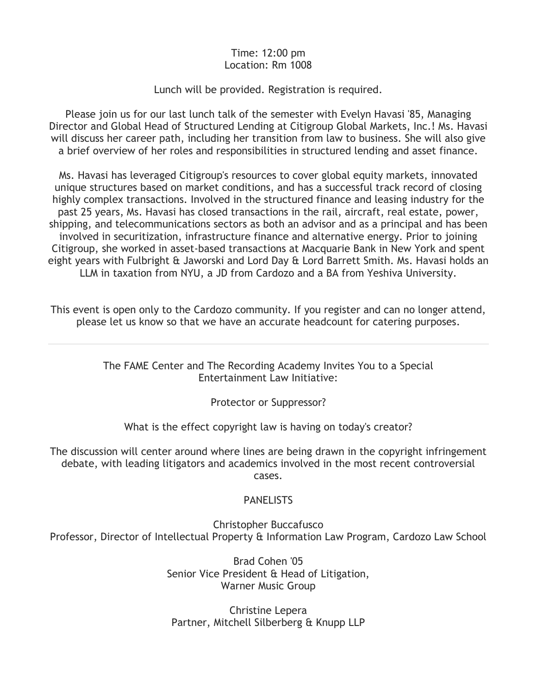#### Time: 12:00 pm Location: Rm 1008

#### Lunch will be provided. Registration is required.

Please join us for our last lunch talk of the semester with Evelyn Havasi '85, Managing Director and Global Head of Structured Lending at Citigroup Global Markets, Inc.! Ms. Havasi will discuss her career path, including her transition from law to business. She will also give a brief overview of her roles and responsibilities in structured lending and asset finance.

Ms. Havasi has leveraged Citigroup's resources to cover global equity markets, innovated unique structures based on market conditions, and has a successful track record of closing highly complex transactions. Involved in the structured finance and leasing industry for the past 25 years, Ms. Havasi has closed transactions in the rail, aircraft, real estate, power, shipping, and telecommunications sectors as both an advisor and as a principal and has been involved in securitization, infrastructure finance and alternative energy. Prior to joining Citigroup, she worked in asset-based transactions at Macquarie Bank in New York and spent eight years with Fulbright & Jaworski and Lord Day & Lord Barrett Smith. Ms. Havasi holds an LLM in taxation from NYU, a JD from Cardozo and a BA from Yeshiva University.

This event is open only to the Cardozo community. If you register and can no longer attend, please let us know so that we have an accurate headcount for catering purposes.

> The FAME Center and The Recording Academy Invites You to a Special Entertainment Law Initiative:

> > Protector or Suppressor?

What is the effect copyright law is having on today's creator?

The discussion will center around where lines are being drawn in the copyright infringement debate, with leading litigators and academics involved in the most recent controversial cases.

### **PANELISTS**

Christopher Buccafusco Professor, Director of Intellectual Property & Information Law Program, Cardozo Law School

> Brad Cohen '05 Senior Vice President & Head of Litigation, Warner Music Group

Christine Lepera Partner, Mitchell Silberberg & Knupp LLP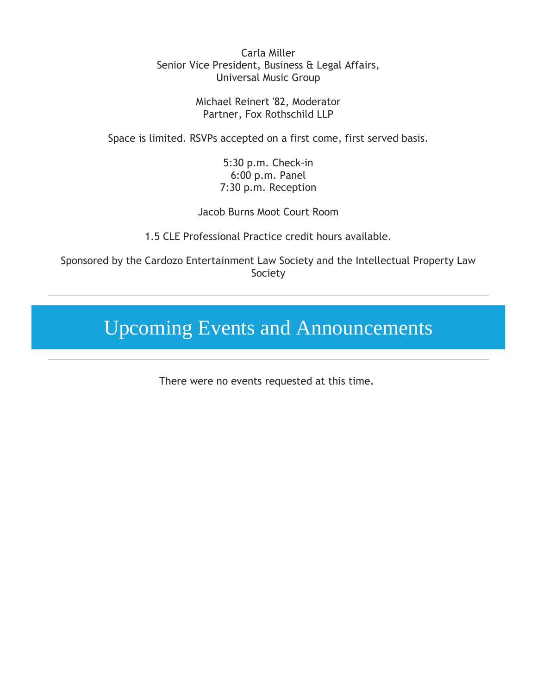Carla Miller Senior Vice President, Business & Legal Affairs, Universal Music Group

> Michael Reinert '82, Moderator Partner, Fox Rothschild LLP

Space is limited. RSVPs accepted on a first come, first served basis.

5:30 p.m. Check-in 6:00 p.m. Panel 7:30 p.m. Reception

Jacob Burns Moot Court Room

1.5 CLE Professional Practice credit hours available.

Sponsored by the Cardozo Entertainment Law Society and the Intellectual Property Law Society

## Upcoming Events and Announcements

There were no events requested at this time.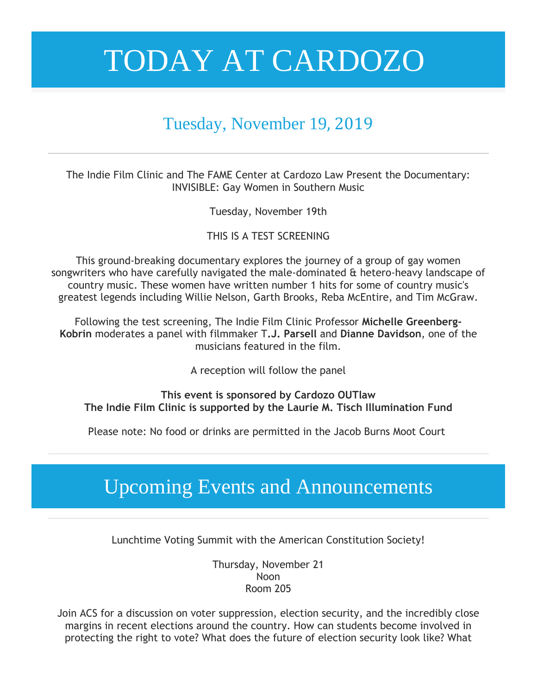### Tuesday, November 19, 2019

The Indie Film Clinic and The FAME Center at Cardozo Law Present the Documentary: INVISIBLE: Gay Women in Southern Music

Tuesday, November 19th

### THIS IS A TEST SCREENING

This ground-breaking documentary explores the journey of a group of gay women songwriters who have carefully navigated the male-dominated & hetero-heavy landscape of country music. These women have written number 1 hits for some of country music's greatest legends including Willie Nelson, Garth Brooks, Reba McEntire, and Tim McGraw.

Following the test screening, The Indie Film Clinic Professor **Michelle Greenberg-Kobrin** moderates a panel with filmmaker T**.J. Parsell** and **Dianne Davidson**, one of the musicians featured in the film.

A reception will follow the panel

**This event is sponsored by Cardozo OUTlaw The Indie Film Clinic is supported by the Laurie M. Tisch Illumination Fund**

Please note: No food or drinks are permitted in the Jacob Burns Moot Court

## Upcoming Events and Announcements

Lunchtime Voting Summit with the American Constitution Society!

Thursday, November 21 Noon Room 205

Join ACS for a discussion on voter suppression, election security, and the incredibly close margins in recent elections around the country. How can students become involved in protecting the right to vote? What does the future of election security look like? What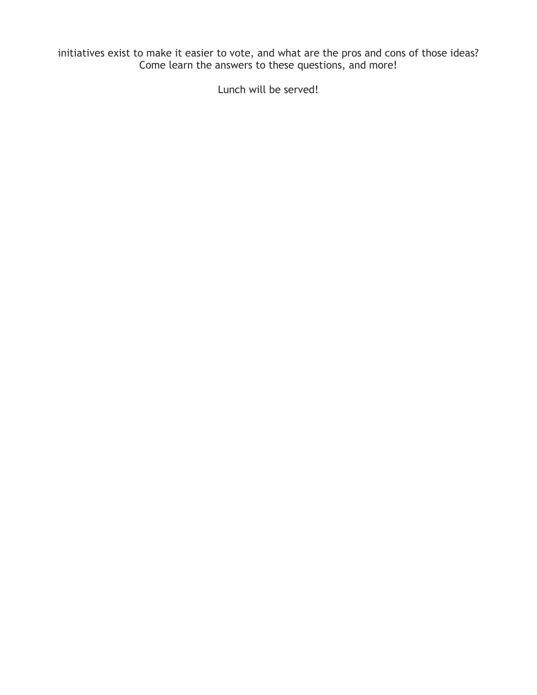initiatives exist to make it easier to vote, and what are the pros and cons of those ideas? Come learn the answers to these questions, and more!

Lunch will be served!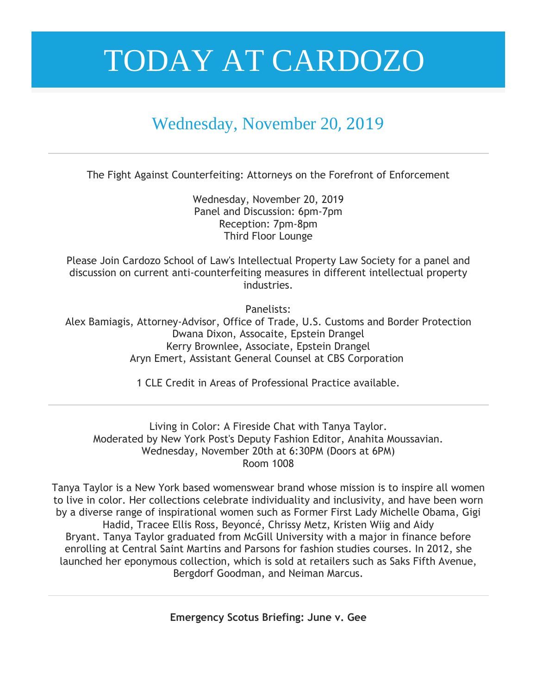## Wednesday, November 20, 2019

The Fight Against Counterfeiting: Attorneys on the Forefront of Enforcement

Wednesday, November 20, 2019 Panel and Discussion: 6pm-7pm Reception: 7pm-8pm Third Floor Lounge

Please Join Cardozo School of Law's Intellectual Property Law Society for a panel and discussion on current anti-counterfeiting measures in different intellectual property industries.

Panelists:

Alex Bamiagis, Attorney-Advisor, Office of Trade, U.S. Customs and Border Protection Dwana Dixon, Assocaite, Epstein Drangel Kerry Brownlee, Associate, Epstein Drangel Aryn Emert, Assistant General Counsel at CBS Corporation

1 CLE Credit in Areas of Professional Practice available.

Living in Color: A Fireside Chat with Tanya Taylor. Moderated by New York Post's Deputy Fashion Editor, Anahita Moussavian. Wednesday, November 20th at 6:30PM (Doors at 6PM) Room 1008

Tanya Taylor is a New York based womenswear brand whose mission is to inspire all women to live in color. Her collections celebrate individuality and inclusivity, and have been worn by a diverse range of inspirational women such as Former First Lady Michelle Obama, Gigi Hadid, Tracee Ellis Ross, Beyoncé, Chrissy Metz, Kristen Wiig and Aidy Bryant. Tanya Taylor graduated from McGill University with a major in finance before enrolling at Central Saint Martins and Parsons for fashion studies courses. In 2012, she launched her eponymous collection, which is sold at retailers such as Saks Fifth Avenue, Bergdorf Goodman, and Neiman Marcus.

**Emergency Scotus Briefing: June v. Gee**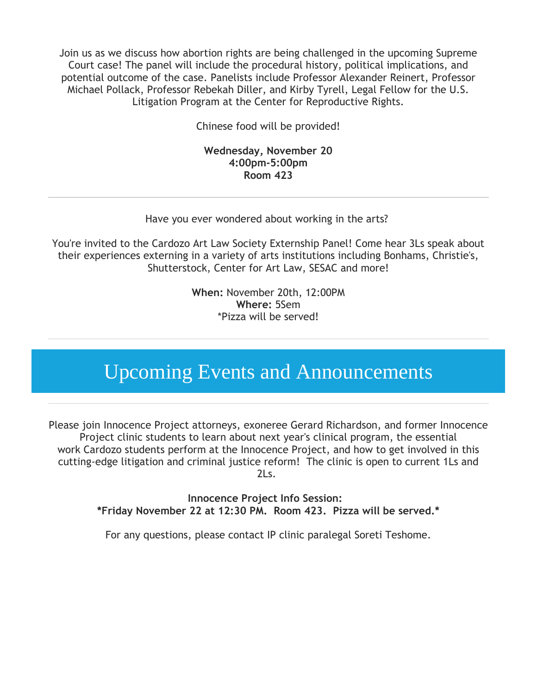Join us as we discuss how abortion rights are being challenged in the upcoming Supreme Court case! The panel will include the procedural history, political implications, and potential outcome of the case. Panelists include Professor Alexander Reinert, Professor Michael Pollack, Professor Rebekah Diller, and Kirby Tyrell, Legal Fellow for the U.S. Litigation Program at the Center for Reproductive Rights.

Chinese food will be provided!

#### **Wednesday, November 20 4:00pm-5:00pm Room 423**

Have you ever wondered about working in the arts?

You're invited to the Cardozo Art Law Society Externship Panel! Come hear 3Ls speak about their experiences externing in a variety of arts institutions including Bonhams, Christie's, Shutterstock, Center for Art Law, SESAC and more!

> **When:** November 20th, 12:00PM **Where:** 5Sem \*Pizza will be served!

## Upcoming Events and Announcements

Please join Innocence Project attorneys, exoneree Gerard Richardson, and former Innocence Project clinic students to learn about next year's clinical program, the essential work Cardozo students perform at the Innocence Project, and how to get involved in this cutting-edge litigation and criminal justice reform! The clinic is open to current 1Ls and 2Ls.

> **Innocence Project Info Session: \*Friday November 22 at 12:30 PM. Room 423. Pizza will be served.\***

For any questions, please contact IP clinic paralegal Soreti Teshome.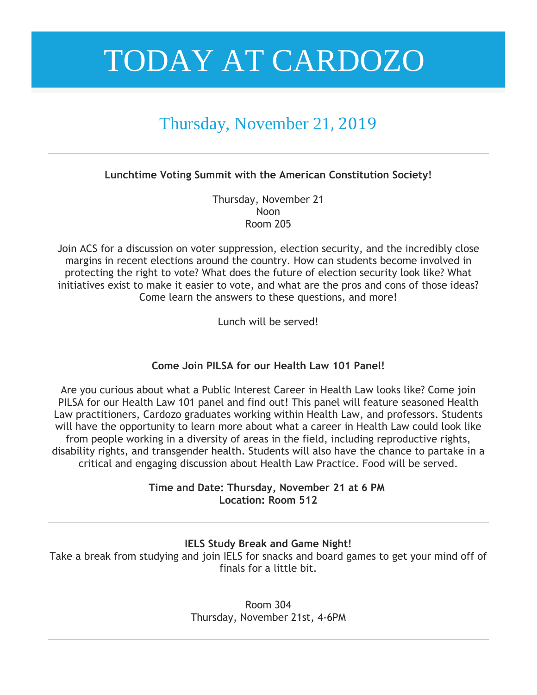## Thursday, November 21, 2019

**Lunchtime Voting Summit with the American Constitution Society!**

Thursday, November 21 Noon Room 205

Join ACS for a discussion on voter suppression, election security, and the incredibly close margins in recent elections around the country. How can students become involved in protecting the right to vote? What does the future of election security look like? What initiatives exist to make it easier to vote, and what are the pros and cons of those ideas? Come learn the answers to these questions, and more!

Lunch will be served!

### **Come Join PILSA for our Health Law 101 Panel!**

Are you curious about what a Public Interest Career in Health Law looks like? Come join PILSA for our Health Law 101 panel and find out! This panel will feature seasoned Health Law practitioners, Cardozo graduates working within Health Law, and professors. Students will have the opportunity to learn more about what a career in Health Law could look like from people working in a diversity of areas in the field, including reproductive rights, disability rights, and transgender health. Students will also have the chance to partake in a critical and engaging discussion about Health Law Practice. Food will be served.

> **Time and Date: Thursday, November 21 at 6 PM Location: Room 512**

> > **IELS Study Break and Game Night!**

Take a break from studying and join IELS for snacks and board games to get your mind off of finals for a little bit.

> Room 304 Thursday, November 21st, 4-6PM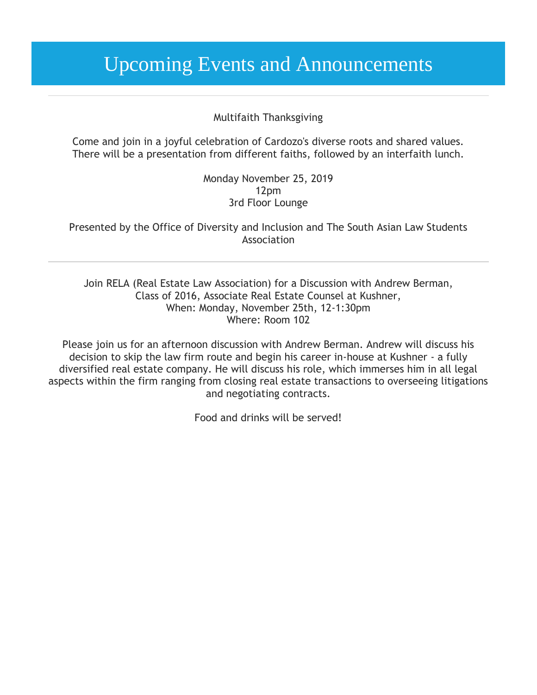## Upcoming Events and Announcements

#### Multifaith Thanksgiving

Come and join in a joyful celebration of Cardozo's diverse roots and shared values. There will be a presentation from different faiths, followed by an interfaith lunch.

> Monday November 25, 2019 12pm 3rd Floor Lounge

Presented by the Office of Diversity and Inclusion and The South Asian Law Students Association

Join RELA (Real Estate Law Association) for a Discussion with Andrew Berman, Class of 2016, Associate Real Estate Counsel at Kushner, When: Monday, November 25th, 12-1:30pm Where: Room 102

Please join us for an afternoon discussion with Andrew Berman. Andrew will discuss his decision to skip the law firm route and begin his career in-house at Kushner - a fully diversified real estate company. He will discuss his role, which immerses him in all legal aspects within the firm ranging from closing real estate transactions to overseeing litigations and negotiating contracts.

Food and drinks will be served!